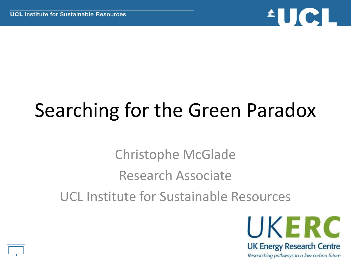

# Searching for the Green Paradox

Christophe McGlade Research Associate UCL Institute for Sustainable Resources



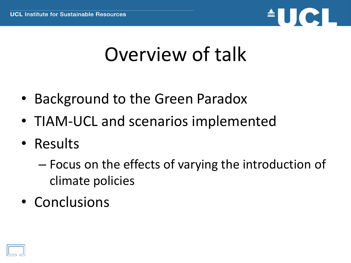

### Overview of talk

- Background to the Green Paradox
- TIAM-UCL and scenarios implemented
- Results
	- Focus on the effects of varying the introduction of climate policies
- Conclusions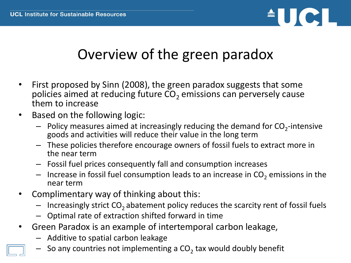

#### Overview of the green paradox

- First proposed by Sinn (2008), the green paradox suggests that some policies aimed at reducing future  $CO<sub>2</sub>$  emissions can perversely cause them to increase
- Based on the following logic:
	- $-$  Policy measures aimed at increasingly reducing the demand for  $CO_2$ -intensive goods and activities will reduce their value in the long term
	- These policies therefore encourage owners of fossil fuels to extract more in the near term
	- Fossil fuel prices consequently fall and consumption increases
	- $-$  Increase in fossil fuel consumption leads to an increase in  $CO<sub>2</sub>$  emissions in the near term
- Complimentary way of thinking about this:
	- $-$  Increasingly strict  $CO<sub>2</sub>$  abatement policy reduces the scarcity rent of fossil fuels
	- Optimal rate of extraction shifted forward in time
- Green Paradox is an example of intertemporal carbon leakage,
	- Additive to spatial carbon leakage
	- $-$  So any countries not implementing a CO<sub>2</sub> tax would doubly benefit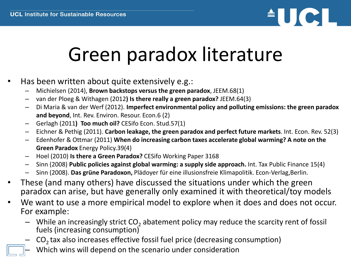

# Green paradox literature

- Has been written about quite extensively e.g.:
	- Michielsen (2014), **Brown backstops versus the green paradox**, JEEM.68(1)
	- van der Ploeg & Withagen (2012**) Is there really a green paradox?** JEEM.64(3)
	- Di Maria & van der Werf (2012). **Imperfect environmental policy and polluting emissions: the green paradox and beyond**, Int. Rev. Environ. Resour. Econ.6 (2)
	- Gerlagh (2011**) Too much oil?** CESifo Econ. Stud.57(1)
	- Eichner & Pethig (2011). **Carbon leakage, the green paradox and perfect future markets**. Int. Econ. Rev. 52(3)
	- Edenhofer & Ottmar (2011) **When do increasing carbon taxes accelerate global warming? A note on the Green Paradox** Energy Policy.39(4)
	- Hoel (2010) **Is there a Green Paradox?** CESifo Working Paper 3168
	- Sinn (2008) **Public policies against global warming: a supply side approach.** Int. Tax Public Finance 15(4)
	- Sinn (2008). **Das grüne Paradoxon,** Plädoyer für eine illusionsfreie Klimapolitik. Econ-Verlag,Berlin.
- These (and many others) have discussed the situations under which the green paradox can arise, but have generally only examined it with theoretical/toy models
- We want to use a more empirical model to explore when it does and does not occur. For example:
	- While an increasingly strict  $CO<sub>2</sub>$  abatement policy may reduce the scarcity rent of fossil fuels (increasing consumption)
	- $CO<sub>2</sub>$  tax also increases effective fossil fuel price (decreasing consumption)
	- Which wins will depend on the scenario under consideration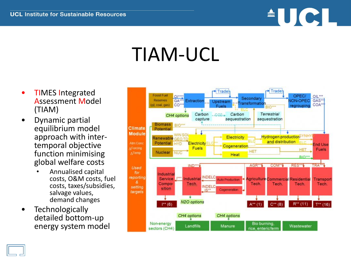

### TIAM-UCL

- TIMES Integrated Assessment Model (TIAM)
- Dynamic partial equilibrium model approach with intertemporal objective function minimising global welfare costs
	- Annualised capital costs, O&M costs, fuel costs, taxes/subsidies, salvage values, demand changes
- **Technologically** detailed bottom-up energy system model

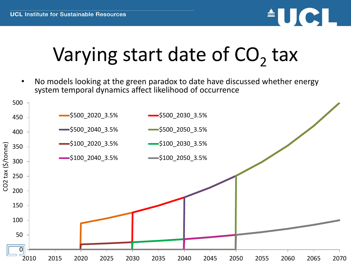

# Varying start date of  $CO<sub>2</sub>$  tax

• No models looking at the green paradox to date have discussed whether energy system temporal dynamics affect likelihood of occurrence

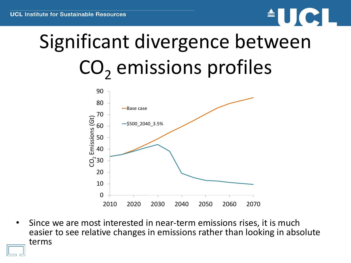# $\blacksquare \blacksquare$

# Significant divergence between  $CO<sub>2</sub>$  emissions profiles



• Since we are most interested in near-term emissions rises, it is much easier to see relative changes in emissions rather than looking in absolute terms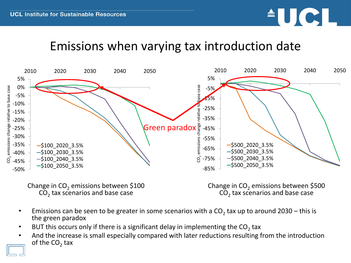

#### Emissions when varying tax introduction date



Change in  $CO<sub>2</sub>$  emissions between \$100  $CO<sub>2</sub>$  tax scenarios and base case

Change in  $CO<sub>2</sub>$  emissions between \$500  $CO<sub>2</sub>$  tax scenarios and base case

- Emissions can be seen to be greater in some scenarios with a  $CO<sub>2</sub>$  tax up to around 2030 this is the green paradox
- BUT this occurs only if there is a significant delay in implementing the CO<sub>2</sub> tax
- And the increase is small especially compared with later reductions resulting from the introduction of the CO<sub>2</sub> tax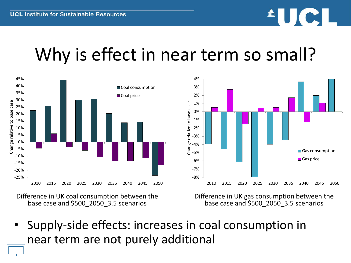

### Why is effect in near term so small?



Difference in UK coal consumption between the base case and \$500\_2050\_3.5 scenarios

Difference in UK gas consumption between the base case and \$500\_2050\_3.5 scenarios

• Supply-side effects: increases in coal consumption in near term are not purely additional

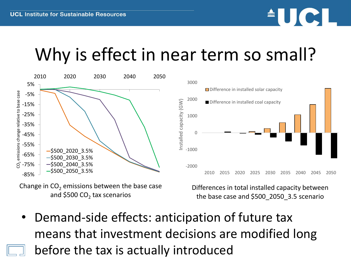

#### Why is effect in near term so small?



Change in  $CO<sub>2</sub>$  emissions between the base case and \$500 CO<sub>2</sub> tax scenarios

Differences in total installed capacity between the base case and \$500\_2050\_3.5 scenario

Demand-side effects: anticipation of future tax means that investment decisions are modified long before the tax is actually introduced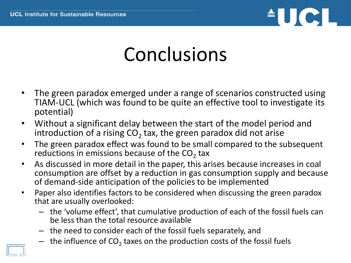

### Conclusions

- The green paradox emerged under a range of scenarios constructed using TIAM-UCL (which was found to be quite an effective tool to investigate its potential)
- Without a significant delay between the start of the model period and introduction of a rising CO<sub>2</sub> tax, the green paradox did not arise
- The green paradox effect was found to be small compared to the subsequent reductions in emissions because of the  $CO_2$  tax
- As discussed in more detail in the paper, this arises because increases in coal consumption are offset by a reduction in gas consumption supply and because of demand-side anticipation of the policies to be implemented
- Paper also identifies factors to be considered when discussing the green paradox that are usually overlooked:
	- the 'volume effect', that cumulative production of each of the fossil fuels can be less than the total resource available
	- the need to consider each of the fossil fuels separately, and
	- $-$  the influence of CO<sub>2</sub> taxes on the production costs of the fossil fuels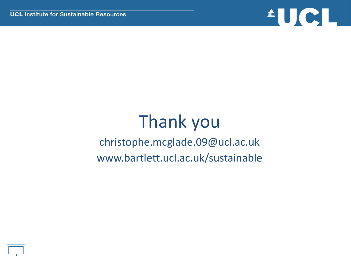

#### Thank you christophe.mcglade.09@ucl.ac.uk www.bartlett.ucl.ac.uk/sustainable